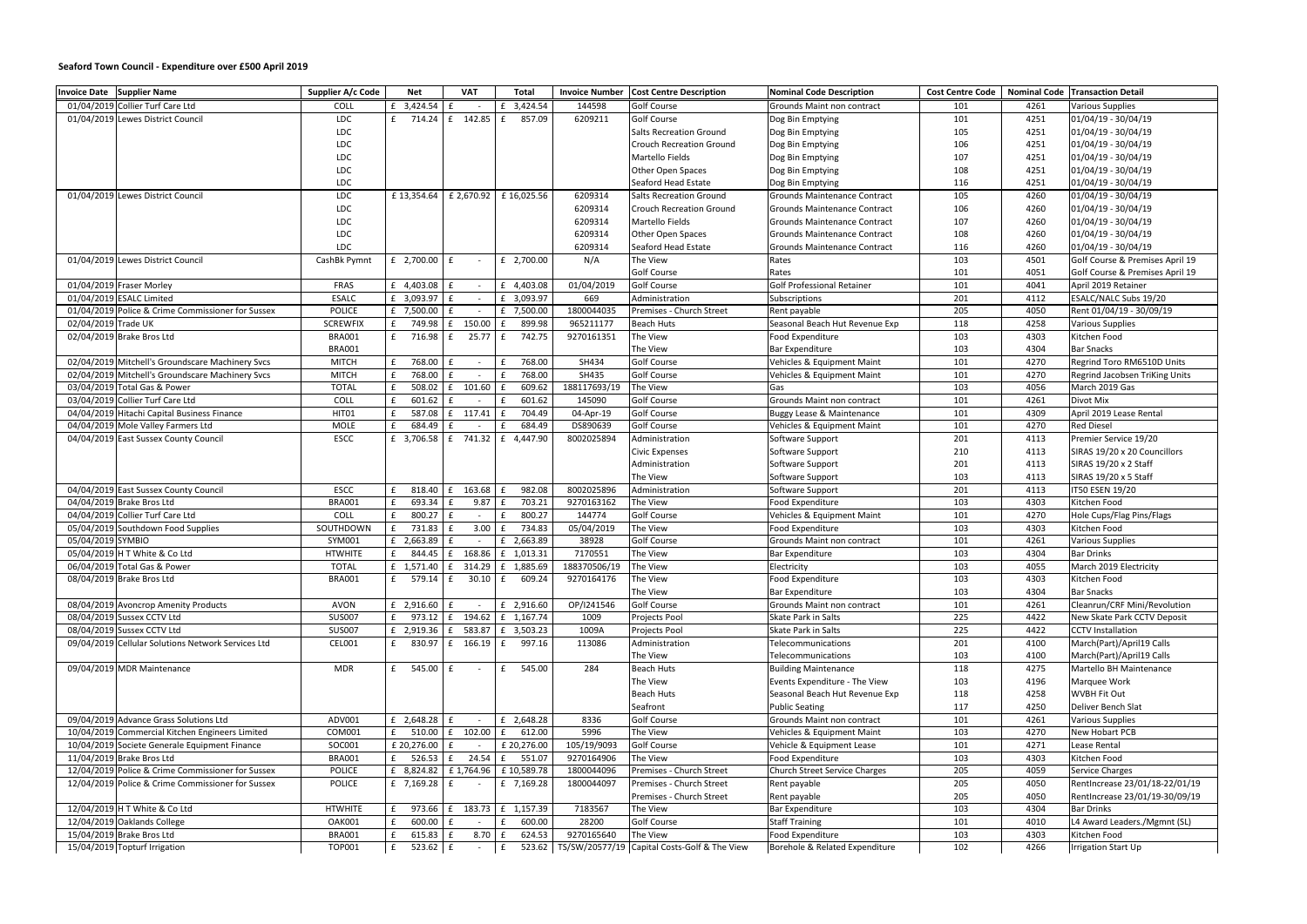## **Seaford Town Council - Expenditure over £500 April 2019**

| Invoice Date Supplier Name                         | Supplier A/c Code | <b>Net</b>                                                       | <b>VAT</b>             | <b>Total</b>                   |              | <b>Invoice Number   Cost Centre Description</b>         | Nominal Code Description             |     |              | <b>Cost Centre Code   Nominal Code   Transaction Detail</b> |
|----------------------------------------------------|-------------------|------------------------------------------------------------------|------------------------|--------------------------------|--------------|---------------------------------------------------------|--------------------------------------|-----|--------------|-------------------------------------------------------------|
| 01/04/2019 Collier Turf Care Ltd                   | COLL              | £ 3,424.54                                                       | £<br>$\sim$            | £ 3,424.54                     | 144598       | <b>Golf Course</b>                                      | Grounds Maint non contract           | 101 | 4261         | Various Supplies                                            |
| 01/04/2019 Lewes District Council                  | LDC               | £ 714.24                                                         | £ 142.85               | f<br>857.09                    | 6209211      | <b>Golf Course</b>                                      | Dog Bin Emptying                     | 101 | 4251         | 01/04/19 - 30/04/19                                         |
|                                                    | <b>LDC</b>        |                                                                  |                        |                                |              | <b>Salts Recreation Ground</b>                          | Dog Bin Emptying                     | 105 | 4251         | 01/04/19 - 30/04/19                                         |
|                                                    | LDC               |                                                                  |                        |                                |              | <b>Crouch Recreation Ground</b>                         | Dog Bin Emptying                     | 106 | 4251         | $01/04/19 - 30/04/19$                                       |
|                                                    | <b>LDC</b>        |                                                                  |                        |                                |              | Martello Fields                                         | Dog Bin Emptying                     | 107 | 4251         | 01/04/19 - 30/04/19                                         |
|                                                    | LDC               |                                                                  |                        |                                |              | Other Open Spaces                                       | Dog Bin Emptying                     | 108 | 4251         | 01/04/19 - 30/04/19                                         |
|                                                    | LDC               |                                                                  |                        |                                |              | Seaford Head Estate                                     | Dog Bin Emptying                     | 116 | 4251         | 01/04/19 - 30/04/19                                         |
| 01/04/2019 Lewes District Council                  | LDC               | £13,354.64                                                       | £ 2,670.92             | £16,025.56                     | 6209314      | <b>Salts Recreation Ground</b>                          | Grounds Maintenance Contract         | 105 | 4260         | 01/04/19 - 30/04/19                                         |
|                                                    | LDC               |                                                                  |                        |                                | 6209314      | <b>Crouch Recreation Ground</b>                         | Grounds Maintenance Contract         | 106 | 4260         | 01/04/19 - 30/04/19                                         |
|                                                    | <b>LDC</b>        |                                                                  |                        |                                | 6209314      | <b>Martello Fields</b>                                  | Grounds Maintenance Contract         | 107 | 4260         | 01/04/19 - 30/04/19                                         |
|                                                    | LDC               |                                                                  |                        |                                | 6209314      | Other Open Spaces                                       | <b>Grounds Maintenance Contract</b>  | 108 | 4260         | 01/04/19 - 30/04/19                                         |
|                                                    | LDC               |                                                                  |                        |                                | 6209314      | Seaford Head Estate                                     | <b>Grounds Maintenance Contract</b>  | 116 | 4260         | 01/04/19 - 30/04/19                                         |
| 01/04/2019 Lewes District Council                  | CashBk Pymnt      | £ 2,700.00 $E$                                                   | $\sim$                 | £ 2,700.00                     | N/A          | The View                                                | Rates                                | 103 | 4501         | Golf Course & Premises April 19                             |
|                                                    |                   |                                                                  |                        |                                |              | <b>Golf Course</b>                                      | Rates                                | 101 | 4051         | Golf Course & Premises April 19                             |
| 01/04/2019 Fraser Morley                           | FRAS              | £ $4,403.08$ £                                                   | $\sim$                 | £ 4,403.08                     | 01/04/2019   | <b>Golf Course</b>                                      | <b>Golf Professional Retainer</b>    | 101 | 4041         | April 2019 Retainer                                         |
| 01/04/2019 ESALC Limited                           | <b>ESALC</b>      | £ 3,093.97 $E$                                                   | $\sim$                 | £ 3,093.97                     | 669          | Administration                                          | Subscriptions                        | 201 | 4112         | ESALC/NALC Subs 19/20                                       |
| 01/04/2019 Police & Crime Commissioner for Sussex  |                   | £ 7,500.00                                                       | f                      |                                | 1800044035   | Premises - Church Street                                |                                      |     | 4050         |                                                             |
| 02/04/2019 Trade UK                                | POLICE            | f                                                                | $\sim$                 | £ 7,500.00                     |              |                                                         | Rent payable                         | 205 |              | Rent 01/04/19 - 30/09/19                                    |
|                                                    | <b>SCREWFIX</b>   | 749.98                                                           | E<br>150.00            | 899.98<br>f                    | 965211177    | <b>Beach Huts</b>                                       | Seasonal Beach Hut Revenue Exp       | 118 | 4258         | <b>Various Supplies</b>                                     |
| 02/04/2019 Brake Bros Ltd                          | <b>BRA001</b>     | f<br>716.98                                                      | f<br>25.77             | 742.75<br>f                    | 9270161351   | The View                                                | Food Expenditure                     | 103 | 4303         | Kitchen Food                                                |
|                                                    | <b>BRA001</b>     |                                                                  |                        |                                |              | The View                                                | <b>Bar Expenditure</b>               | 103 | 4304         | <b>Bar Snacks</b>                                           |
| 02/04/2019 Mitchell's Groundscare Machinery Svcs   | <b>MITCH</b>      | 768.00                                                           | £<br>$\sim$            | £ 768.00                       | SH434        | <b>Golf Course</b>                                      | Vehicles & Equipment Maint           | 101 | 4270         | Regrind Toro RM6510D Units                                  |
| 02/04/2019 Mitchell's Groundscare Machinery Svcs   | <b>MITCH</b>      | 768.00                                                           | f<br>$\sim$            | 768.00<br>£                    | SH435        | <b>Golf Course</b>                                      | Vehicles & Equipment Maint           | 101 | 4270         | Regrind Jacobsen TriKing Units                              |
| 03/04/2019 Total Gas & Power                       | <b>TOTAL</b>      | 508.02                                                           | £ 101.60               | 609.62<br>£                    | 188117693/19 | The View                                                | Gas                                  | 103 | 4056         | March 2019 Gas                                              |
| 03/04/2019 Collier Turf Care Ltd                   | COLL              | 601.62                                                           | £<br>$\sim$            | 601.62<br>£                    | 145090       | <b>Golf Course</b>                                      | Grounds Maint non contract           | 101 | 4261         | Divot Mix                                                   |
| 04/04/2019 Hitachi Capital Business Finance        | HIT01             | 587.08                                                           | $f = 117.41$ $f =$     | 704.49                         | 04-Apr-19    | <b>Golf Course</b>                                      | <b>Buggy Lease &amp; Maintenance</b> | 101 | 4309         | April 2019 Lease Rental                                     |
| 04/04/2019 Mole Valley Farmers Ltd                 | <b>MOLE</b>       | 684.49                                                           | f<br>$\sim$            | 684.49<br>£                    | DS890639     | <b>Golf Course</b>                                      | Vehicles & Equipment Maint           | 101 | 4270         | <b>Red Diesel</b>                                           |
| 04/04/2019 East Sussex County Council              | ESCC              | £ 3,706.58 $ E$ 741.32 $ E$ 4,447.90                             |                        |                                | 8002025894   | Administration                                          | Software Support                     | 201 | 4113         | Premier Service 19/20                                       |
|                                                    |                   |                                                                  |                        |                                |              | <b>Civic Expenses</b>                                   | Software Support                     | 210 | 4113         | SIRAS 19/20 x 20 Councillors                                |
|                                                    |                   |                                                                  |                        |                                |              | Administration                                          | Software Support                     | 201 | 4113         | SIRAS 19/20 x 2 Staff                                       |
|                                                    |                   |                                                                  |                        |                                |              | The View                                                | Software Support                     | 103 | 4113         | SIRAS 19/20 x 5 Staff                                       |
| 04/04/2019 East Sussex County Council              | ESCC              | 818.40 £                                                         | 163.68                 | 982.08<br>£                    | 8002025896   | Administration                                          | Software Support                     | 201 | 4113         | IT50 ESEN 19/20                                             |
| 04/04/2019 Brake Bros Ltd                          | <b>BRA001</b>     | 693.34                                                           | 9.87<br>£              | 703.21<br>E                    | 9270163162   | The View                                                | Food Expenditure                     | 103 | 4303         | Kitchen Food                                                |
| 04/04/2019 Collier Turf Care Ltd                   | COLL              | 800.27<br>f                                                      | £<br>$\sim$            | 800.27<br>f                    | 144774       | <b>Golf Course</b>                                      | Vehicles & Equipment Maint           | 101 | 4270         | Hole Cups/Flag Pins/Flags                                   |
| 05/04/2019 Southdown Food Supplies                 | SOUTHDOWN         | 731.83                                                           | $3.00 \t f$<br>£       | 734.83                         | 05/04/2019   | The View                                                | Food Expenditure                     | 103 | 4303         | Kitchen Food                                                |
| 05/04/2019 SYMBIO                                  | SYM001            | £ 2,663.89                                                       | $\mathbf{f}$<br>$\sim$ | £ 2,663.89                     | 38928        | <b>Golf Course</b>                                      | Grounds Maint non contract           | 101 | 4261         | <b>Various Supplies</b>                                     |
| 05/04/2019 H T White & Co Ltd                      | <b>HTWHITE</b>    | 844.45                                                           | 168.86<br>f            | £ 1.013.31                     | 7170551      | The View                                                | <b>Bar Expenditure</b>               | 103 | 4304         | <b>Bar Drinks</b>                                           |
| 06/04/2019 Total Gas & Power                       | <b>TOTAL</b>      | £ 1,571.40 $\left  2 \right $ 314.29 $\left  2 \right $ 1,885.69 |                        |                                | 188370506/19 | The View                                                | Electricity                          | 103 | 4055         | March 2019 Electricity                                      |
| 08/04/2019 Brake Bros Ltd                          | BRA001            | £ $579.14 \mid f$ 30.10 $\mid f$ 609.24                          |                        |                                | 9270164176   | The View                                                | Food Expenditure                     | 103 | 4303         | Kitchen Food                                                |
|                                                    |                   |                                                                  |                        |                                |              | The View                                                | Bar Expenditure                      | 103 | 4304         | <b>Bar Snacks</b>                                           |
| 08/04/2019 Avoncrop Amenity Products               | <b>AVON</b>       | £ 2,916.60 $E$                                                   |                        | £ 2,916.60                     | OP/I241546   | <b>Golf Course</b>                                      | Grounds Maint non contract           | 101 | 4261         | Cleanrun/CRF Mini/Revolution                                |
| 08/04/2019 Sussex CCTV Ltd                         | <b>SUS007</b>     | £                                                                |                        | 973.12   £ 194.62   £ 1,167.74 | 1009         | Projects Pool                                           | Skate Park in Salts                  | 225 | 4422         | New Skate Park CCTV Deposit                                 |
| 08/04/2019 Sussex CCTV Ltd                         | <b>SUS007</b>     | £ 2,919.36 $ E$ 583.87 $ E$ 3,503.23                             |                        |                                | 1009A        | Projects Pool                                           | Skate Park in Salts                  | 225 | 4422         | <b>CCTV</b> Installation                                    |
| 09/04/2019 Cellular Solutions Network Services Ltd | CEL001            | f                                                                | 830.97 E 166.19 E      | 997.16                         | 113086       | Administration                                          | Telecommunications                   | 201 | 4100         | March(Part)/April19 Calls                                   |
|                                                    |                   |                                                                  |                        |                                |              | The View                                                | Telecommunications                   | 103 | 4100         | March(Part)/April19 Calls                                   |
| 09/04/2019 MDR Maintenance                         | <b>MDR</b>        | $f = 545.00$ $f$                                                 | $\sim$                 | £ 545.00                       | 284          | <b>Beach Huts</b>                                       | <b>Building Maintenance</b>          | 118 | 4275         | Martello BH Maintenance                                     |
|                                                    |                   |                                                                  |                        |                                |              | The View                                                | Events Expenditure - The View        | 103 | 4196         | Marquee Work                                                |
|                                                    |                   |                                                                  |                        |                                |              | <b>Beach Huts</b>                                       | Seasonal Beach Hut Revenue Exp       | 118 | 4258         | WVBH Fit Out                                                |
|                                                    |                   |                                                                  |                        |                                |              | Seafront                                                | <b>Public Seating</b>                | 117 | 4250         |                                                             |
|                                                    |                   |                                                                  |                        | £ 2,648.28                     |              | <b>Golf Course</b>                                      |                                      |     |              | Deliver Bench Slat                                          |
| 09/04/2019 Advance Grass Solutions Ltd             | ADV001<br>COM001  | £ $2,648.28$ £<br>$E$ 510.00 £ 102.00                            | $\sim$                 |                                | 8336<br>5996 | The View                                                | Grounds Maint non contract           | 101 | 4261<br>4270 | Various Supplies                                            |
| 10/04/2019 Commercial Kitchen Engineers Limited    |                   |                                                                  |                        | £ 612.00                       |              |                                                         | Vehicles & Equipment Maint           | 103 |              | New Hobart PCB                                              |
| 10/04/2019 Societe Generale Equipment Finance      | SOC001            | £ 20,276.00                                                      | f<br>$\sim$            | £ 20,276.00                    | 105/19/9093  | <b>Golf Course</b>                                      | Vehicle & Equipment Lease            | 101 | 4271         | Lease Rental                                                |
| 11/04/2019 Brake Bros Ltd                          | <b>BRA001</b>     | £ $526.53$ $\left  \right. 24.54$                                |                        | £ 551.07                       | 9270164906   | The View                                                | Food Expenditure                     | 103 | 4303         | Kitchen Food                                                |
| 12/04/2019 Police & Crime Commissioner for Sussex  | POLICE            | £ 8,824.82   £ 1,764.96   £ 10,589.78                            |                        |                                | 1800044096   | Premises - Church Street                                | <b>Church Street Service Charges</b> | 205 | 4059         | Service Charges                                             |
| 12/04/2019 Police & Crime Commissioner for Sussex  | POLICE            | $f$ 7,169.28 $f$                                                 | $\sim$                 | £ 7,169.28                     | 1800044097   | Premises - Church Street                                | Rent payable                         | 205 | 4050         | RentIncrease 23/01/18-22/01/19                              |
|                                                    |                   |                                                                  |                        |                                |              | Premises - Church Street                                | Rent payable                         | 205 | 4050         | RentIncrease 23/01/19-30/09/19                              |
| 12/04/2019 H T White & Co Ltd                      | <b>HTWHITE</b>    |                                                                  |                        | 973.66   £ 183.73   £ 1,157.39 | 7183567      | The View                                                | Bar Expenditure                      | 103 | 4304         | Bar Drinks                                                  |
| 12/04/2019 Oaklands College                        | <b>OAK001</b>     | 600.00                                                           | f<br>$\sim$            | 600.00<br>£                    | 28200        | <b>Golf Course</b>                                      | <b>Staff Training</b>                | 101 | 4010         | L4 Award Leaders./Mgmnt (SL)                                |
| 15/04/2019 Brake Bros Ltd                          | <b>BRA001</b>     | $615.83$ $E$                                                     | 8.70 £                 | 624.53                         | 9270165640   | The View                                                | Food Expenditure                     | 103 | 4303         | Kitchen Food                                                |
| 15/04/2019 Topturf Irrigation                      | TOP001            | f<br>$523.62 \mid f$                                             | $\sim$                 | $\mathsf{E}$                   |              | 523.62   TS/SW/20577/19   Capital Costs-Golf & The View | Borehole & Related Expenditure       | 102 | 4266         | Irrigation Start Up                                         |